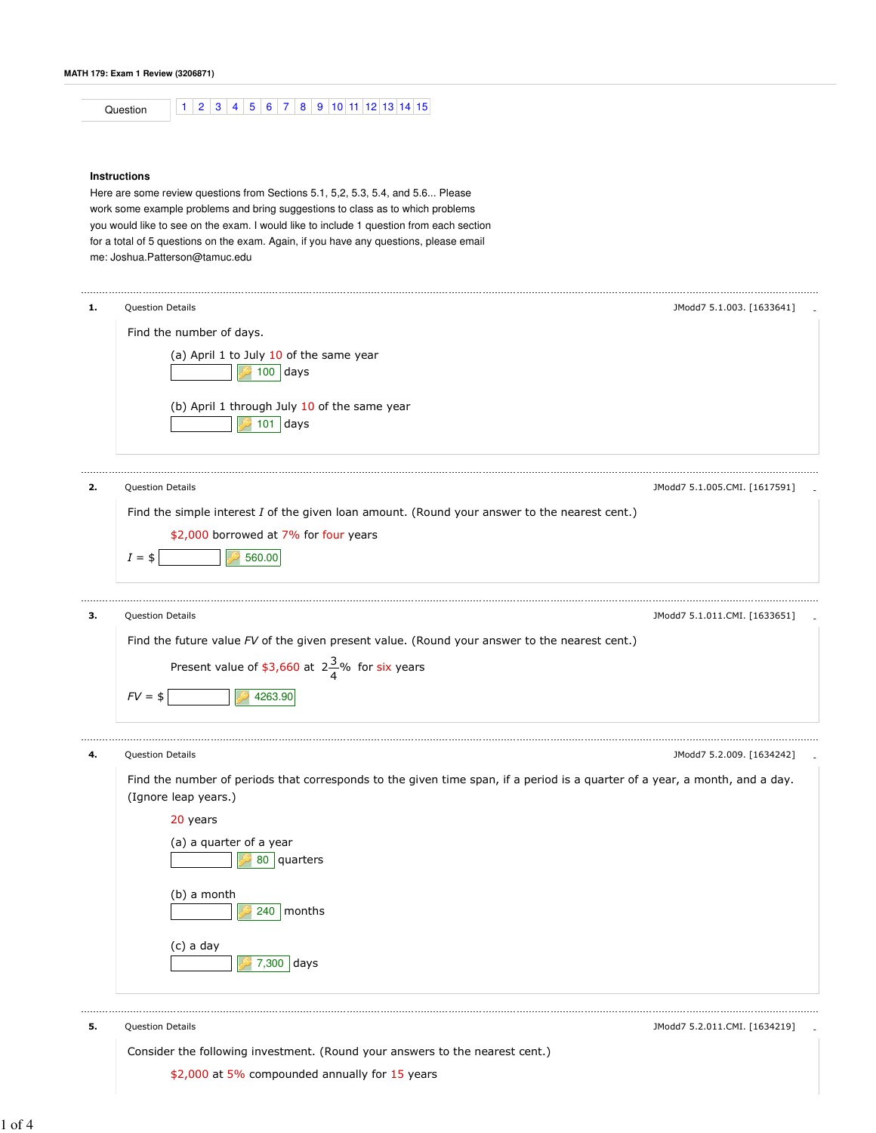Question 1 2 3 4 5 6 7 8 9 10 11 12 13 14 15

## **Instructions**

Here are some review questions from Sections 5.1, 5,2, 5.3, 5.4, and 5.6... Please work some example problems and bring suggestions to class as to which problems you would like to see on the exam. I would like to include 1 question from each section for a total of 5 questions on the exam. Again, if you have any questions, please email me: Joshua.Patterson@tamuc.edu

| Question Details                                                                                                            | JModd7 5.1.003. [1633641]     |
|-----------------------------------------------------------------------------------------------------------------------------|-------------------------------|
| Find the number of days.                                                                                                    |                               |
| (a) April 1 to July 10 of the same year<br>$100$ days                                                                       |                               |
| (b) April 1 through July 10 of the same year<br>$101$ days                                                                  |                               |
| <b>Question Details</b>                                                                                                     | JModd7 5.1.005.CMI. [1617591] |
| Find the simple interest I of the given loan amount. (Round your answer to the nearest cent.)                               |                               |
| \$2,000 borrowed at 7% for four years                                                                                       |                               |
| 560.00<br>$I = $$                                                                                                           |                               |
| Question Details                                                                                                            | JModd7 5.1.011.CMI. [1633651] |
| Find the future value FV of the given present value. (Round your answer to the nearest cent.)                               |                               |
| Present value of \$3,660 at $2\frac{3}{4}$ % for six years                                                                  |                               |
|                                                                                                                             |                               |
|                                                                                                                             |                               |
| $FV = $$<br>4263.90                                                                                                         |                               |
| Question Details                                                                                                            |                               |
| Find the number of periods that corresponds to the given time span, if a period is a quarter of a year, a month, and a day. |                               |
| (Ignore leap years.)                                                                                                        |                               |
| 20 years                                                                                                                    |                               |
| (a) a quarter of a year<br>80   quarters                                                                                    |                               |
|                                                                                                                             |                               |
| (b) a month<br>$240$   months                                                                                               |                               |
| (c) a day<br>7,300 days                                                                                                     | JModd7 5.2.009. [1634242]     |

Consider the following investment. (Round your answers to the nearest cent.)

\$2,000 at 5% compounded annually for 15 years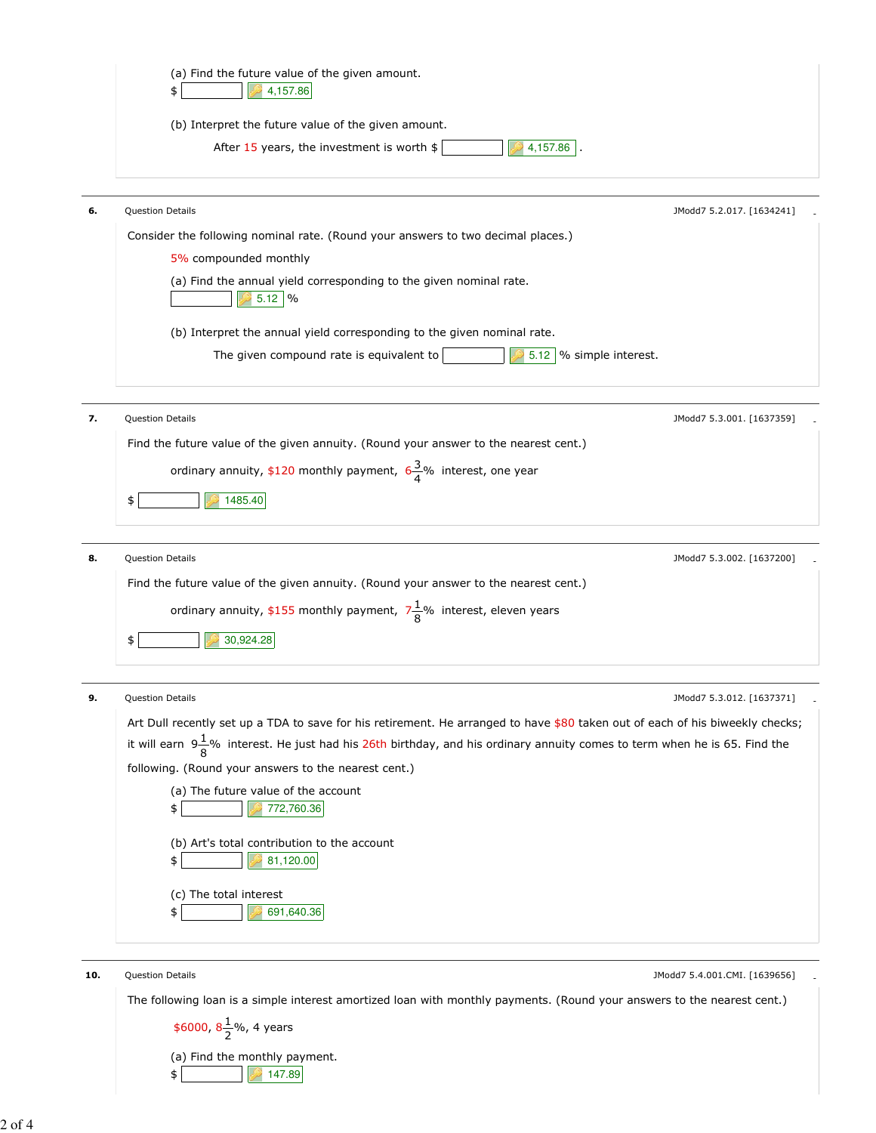

| 6. | <b>Question Details</b>                                                          | JModd7 5.2.017. [1634241] |
|----|----------------------------------------------------------------------------------|---------------------------|
|    | Consider the following nominal rate. (Round your answers to two decimal places.) |                           |
|    | 5% compounded monthly                                                            |                           |
|    | (a) Find the annual yield corresponding to the given nominal rate.<br>$5.12$ %   |                           |
|    | (b) Interpret the annual yield corresponding to the given nominal rate.          |                           |
|    | 5.12 \% simple interest.<br>The given compound rate is equivalent to             |                           |
|    |                                                                                  |                           |
|    | Question Details                                                                 | IMARRIZ E 2 001 [1627250] |

| JModd7 5.3.001. [1637359] |
|---------------------------|
|                           |
|                           |
|                           |
|                           |

| 8. | <b>Question Details</b>                                                              | JModd7 5.3.002. [1637200] |  |
|----|--------------------------------------------------------------------------------------|---------------------------|--|
|    | Find the future value of the given annuity. (Round your answer to the nearest cent.) |                           |  |
|    | ordinary annuity, \$155 monthly payment, $7\frac{1}{8}$ % interest, eleven years     |                           |  |
|    | 30,924.28                                                                            |                           |  |

| 9.  | <b>Question Details</b><br>JModd7 5.3.012. [1637371]                                                                                  |
|-----|---------------------------------------------------------------------------------------------------------------------------------------|
|     | Art Dull recently set up a TDA to save for his retirement. He arranged to have \$80 taken out of each of his biweekly checks;         |
|     | it will earn $9\frac{1}{9}$ % interest. He just had his 26th birthday, and his ordinary annuity comes to term when he is 65. Find the |
|     | following. (Round your answers to the nearest cent.)                                                                                  |
|     | (a) The future value of the account<br>772,760.36<br>\$                                                                               |
|     | (b) Art's total contribution to the account<br>81,120.00<br>\$                                                                        |
|     | (c) The total interest<br>691,640.36                                                                                                  |
|     |                                                                                                                                       |
| 10. | <b>Question Details</b><br>JModd7 5.4.001.CMI. [1639656]                                                                              |

The following loan is a simple interest amortized loan with monthly payments. (Round your answers to the nearest cent.)

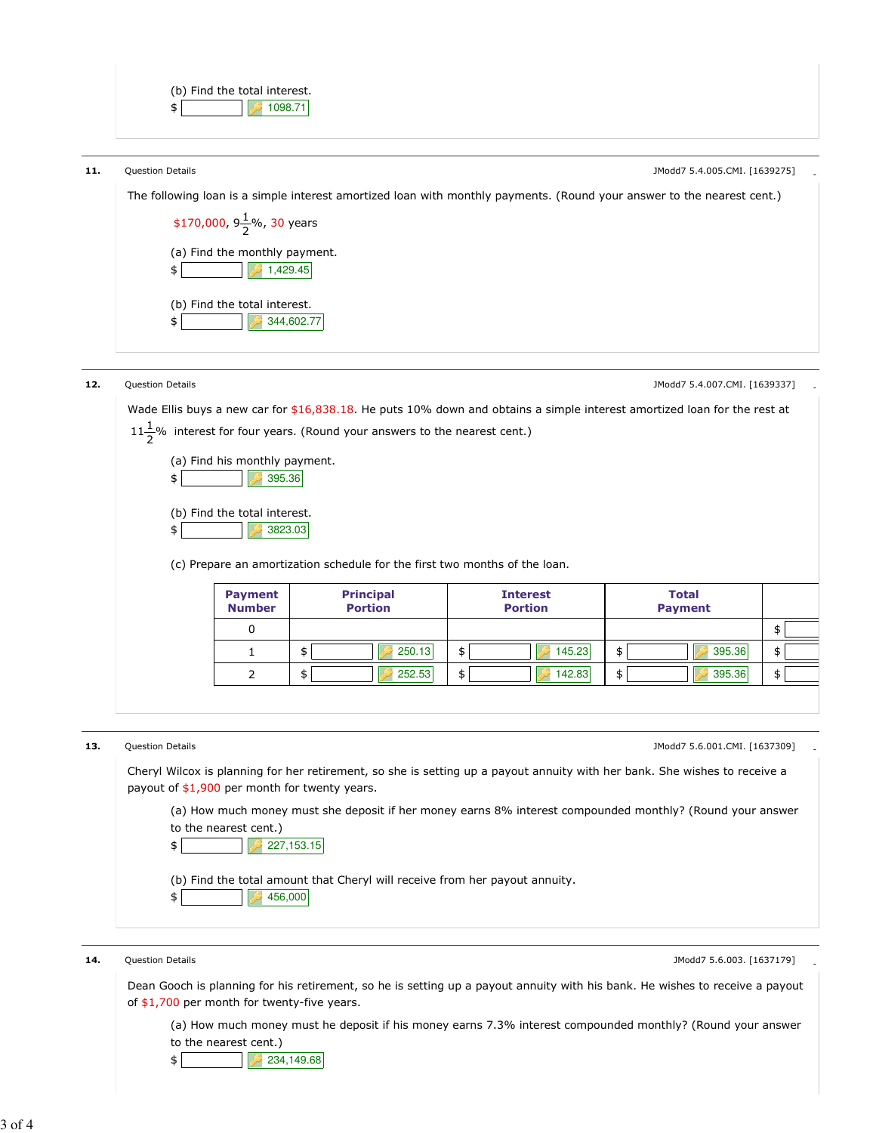

14. Question Details **Authority Contract Contract Contract Contract Contract Contract Contract Contract Contract Contract Contract Contract Contract Contract Contract Contract Contract Contract Contract Contract Contract C** 

Dean Gooch is planning for his retirement, so he is setting up a payout annuity with his bank. He wishes to receive a payout of \$1,700 per month for twenty-five years.

(a) How much money must he deposit if his money earns 7.3% interest compounded monthly? (Round your answer to the nearest cent.)

 $\bullet$  234,149.68